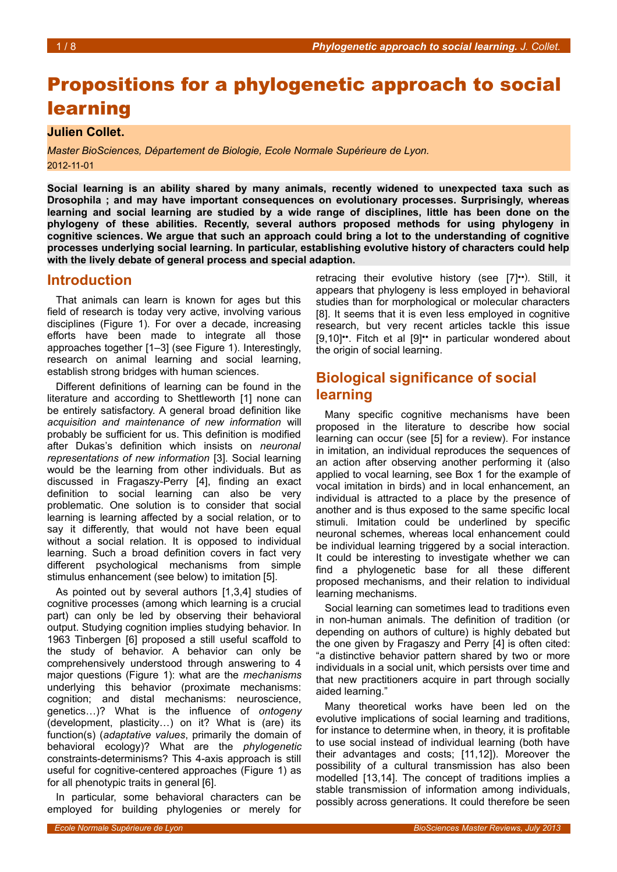# Propositions for a phylogenetic approach to social learning

## **Julien Collet.**

*Master BioSciences, Département de Biologie, Ecole Normale Supérieure de Lyon.* 2012-11-01

**Social learning is an ability shared by many animals, recently widened to unexpected taxa such as Drosophila ; and may have important consequences on evolutionary processes. Surprisingly, whereas learning and social learning are studied by a wide range of disciplines, little has been done on the phylogeny of these abilities. Recently, several authors proposed methods for using phylogeny in cognitive sciences. We argue that such an approach could bring a lot to the understanding of cognitive processes underlying social learning. In particular, establishing evolutive history of characters could help with the lively debate of general process and special adaption.**

## **Introduction**

That animals can learn is known for ages but this field of research is today very active, involving various disciplines (Figure [1\)](#page-1-0). For over a decade, increasing efforts have been made to integrate all those approaches together [1–3] (see Figure [1\)](#page-1-0). Interestingly, research on animal learning and social learning, establish strong bridges with human sciences.

Different definitions of learning can be found in the literature and according to Shettleworth [1] none can be entirely satisfactory. A general broad definition like *acquisition and maintenance of new information* will probably be sufficient for us. This definition is modified after Dukas's definition which insists on *neuronal representations of new information* [3]. Social learning would be the learning from other individuals. But as discussed in Fragaszy-Perry [4], finding an exact definition to social learning can also be very problematic. One solution is to consider that social learning is learning affected by a social relation, or to say it differently, that would not have been equal without a social relation. It is opposed to individual learning. Such a broad definition covers in fact very different psychological mechanisms from simple stimulus enhancement (see below) to imitation [5].

As pointed out by several authors [1,3,4] studies of cognitive processes (among which learning is a crucial part) can only be led by observing their behavioral output. Studying cognition implies studying behavior. In 1963 Tinbergen [6] proposed a still useful scaffold to the study of behavior. A behavior can only be comprehensively understood through answering to 4 major questions (Figure [1\)](#page-1-0): what are the *mechanisms* underlying this behavior (proximate mechanisms: cognition; and distal mechanisms: neuroscience, genetics…)? What is the influence of *ontogeny* (development, plasticity…) on it? What is (are) its function(s) (*adaptative values*, primarily the domain of behavioral ecology)? What are the *phylogenetic* constraints-determinisms? This 4-axis approach is still useful for cognitive-centered approaches (Figure [1\)](#page-1-0) as for all phenotypic traits in general [6].

In particular, some behavioral characters can be employed for building phylogenies or merely for

retracing their evolutive history (see [7]••). Still, it appears that phylogeny is less employed in behavioral studies than for morphological or molecular characters [8]. It seems that it is even less employed in cognitive research, but very recent articles tackle this issue [9,10]••. Fitch et al [9]•• in particular wondered about the origin of social learning.

## **Biological significance of social learning**

Many specific cognitive mechanisms have been proposed in the literature to describe how social learning can occur (see [5] for a review). For instance in imitation, an individual reproduces the sequences of an action after observing another performing it (also applied to vocal learning, see Box [1](#page-4-0) for the example of vocal imitation in birds) and in local enhancement, an individual is attracted to a place by the presence of another and is thus exposed to the same specific local stimuli. Imitation could be underlined by specific neuronal schemes, whereas local enhancement could be individual learning triggered by a social interaction. It could be interesting to investigate whether we can find a phylogenetic base for all these different proposed mechanisms, and their relation to individual learning mechanisms.

Social learning can sometimes lead to traditions even in non-human animals. The definition of tradition (or depending on authors of culture) is highly debated but the one given by Fragaszy and Perry [4] is often cited: "a distinctive behavior pattern shared by two or more individuals in a social unit, which persists over time and that new practitioners acquire in part through socially aided learning."

Many theoretical works have been led on the evolutive implications of social learning and traditions, for instance to determine when, in theory, it is profitable to use social instead of individual learning (both have their advantages and costs; [11,12]). Moreover the possibility of a cultural transmission has also been modelled [13,14]. The concept of traditions implies a stable transmission of information among individuals, possibly across generations. It could therefore be seen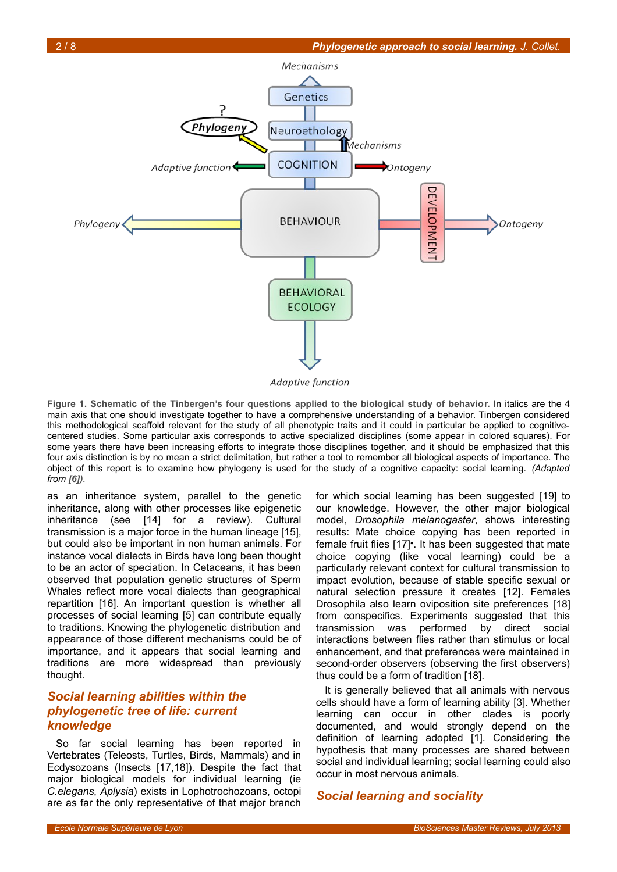

Adaptive function

<span id="page-1-0"></span>**Figure 1. Schematic of the Tinbergen's four questions applied to the biological study of behavior.** In italics are the 4 main axis that one should investigate together to have a comprehensive understanding of a behavior. Tinbergen considered this methodological scaffold relevant for the study of all phenotypic traits and it could in particular be applied to cognitivecentered studies. Some particular axis corresponds to active specialized disciplines (some appear in colored squares). For some years there have been increasing efforts to integrate those disciplines together, and it should be emphasized that this four axis distinction is by no mean a strict delimitation, but rather a tool to remember all biological aspects of importance. The object of this report is to examine how phylogeny is used for the study of a cognitive capacity: social learning. *(Adapted from [6]).* 

as an inheritance system, parallel to the genetic inheritance, along with other processes like epigenetic inheritance (see [14] for a review). Cultural transmission is a major force in the human lineage [15], but could also be important in non human animals. For instance vocal dialects in Birds have long been thought to be an actor of speciation. In Cetaceans, it has been observed that population genetic structures of Sperm Whales reflect more vocal dialects than geographical repartition [16]. An important question is whether all processes of social learning [5] can contribute equally to traditions. Knowing the phylogenetic distribution and appearance of those different mechanisms could be of importance, and it appears that social learning and traditions are more widespread than previously thought.

## *Social learning abilities within the phylogenetic tree of life: current knowledge*

So far social learning has been reported in Vertebrates (Teleosts, Turtles, Birds, Mammals) and in Ecdysozoans (Insects [17,18]). Despite the fact that major biological models for individual learning (ie *C.elegans*, *Aplysia*) exists in Lophotrochozoans, octopi are as far the only representative of that major branch

for which social learning has been suggested [19] to our knowledge. However, the other major biological model, *Drosophila melanogaster*, shows interesting results: Mate choice copying has been reported in female fruit flies [17]•. It has been suggested that mate choice copying (like vocal learning) could be a particularly relevant context for cultural transmission to impact evolution, because of stable specific sexual or natural selection pressure it creates [12]. Females Drosophila also learn oviposition site preferences [18] from conspecifics. Experiments suggested that this transmission was performed by direct social interactions between flies rather than stimulus or local enhancement, and that preferences were maintained in second-order observers (observing the first observers) thus could be a form of tradition [18].

It is generally believed that all animals with nervous cells should have a form of learning ability [3]. Whether learning can occur in other clades is poorly documented, and would strongly depend on the definition of learning adopted [1]. Considering the hypothesis that many processes are shared between social and individual learning; social learning could also occur in most nervous animals.

### *Social learning and sociality*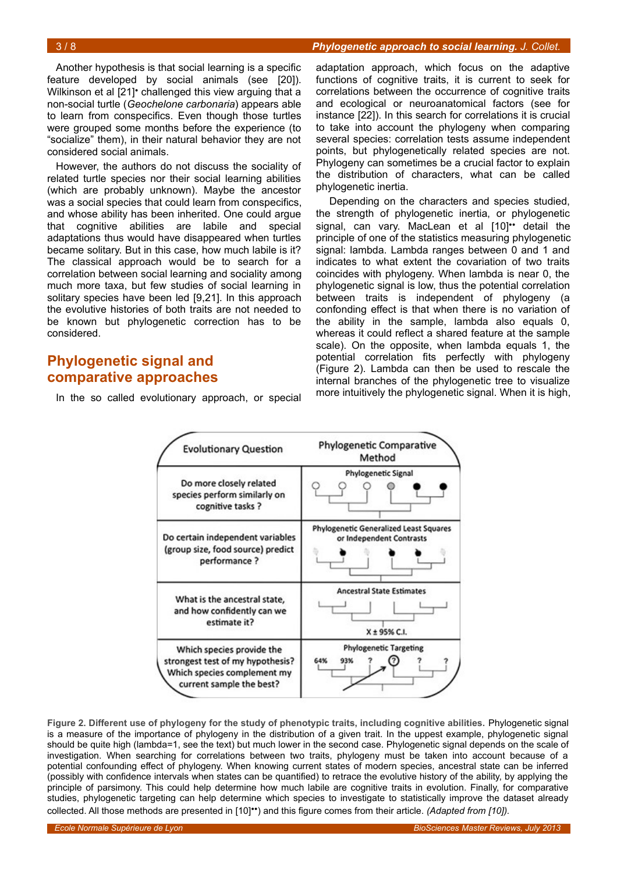Another hypothesis is that social learning is a specific feature developed by social animals (see [20]). Wilkinson et al [21]<sup>•</sup> challenged this view arguing that a non-social turtle (*Geochelone carbonaria*) appears able to learn from conspecifics. Even though those turtles were grouped some months before the experience (to "socialize" them), in their natural behavior they are not considered social animals.

However, the authors do not discuss the sociality of related turtle species nor their social learning abilities (which are probably unknown). Maybe the ancestor was a social species that could learn from conspecifics, and whose ability has been inherited. One could argue that cognitive abilities are labile and special adaptations thus would have disappeared when turtles became solitary. But in this case, how much labile is it? The classical approach would be to search for a correlation between social learning and sociality among much more taxa, but few studies of social learning in solitary species have been led [9,21]. In this approach the evolutive histories of both traits are not needed to be known but phylogenetic correction has to be considered.

## **Phylogenetic signal and comparative approaches**

In the so called evolutionary approach, or special

adaptation approach, which focus on the adaptive functions of cognitive traits, it is current to seek for correlations between the occurrence of cognitive traits and ecological or neuroanatomical factors (see for instance [22]). In this search for correlations it is crucial to take into account the phylogeny when comparing several species: correlation tests assume independent points, but phylogenetically related species are not. Phylogeny can sometimes be a crucial factor to explain the distribution of characters, what can be called phylogenetic inertia.

 Depending on the characters and species studied, the strength of phylogenetic inertia, or phylogenetic signal, can vary. MacLean et al [10]<sup>\*\*</sup> detail the principle of one of the statistics measuring phylogenetic signal: lambda. Lambda ranges between 0 and 1 and indicates to what extent the covariation of two traits coincides with phylogeny. When lambda is near 0, the phylogenetic signal is low, thus the potential correlation between traits is independent of phylogeny (a confonding effect is that when there is no variation of the ability in the sample, lambda also equals 0, whereas it could reflect a shared feature at the sample scale). On the opposite, when lambda equals 1, the potential correlation fits perfectly with phylogeny (Figure [2\)](#page-2-0). Lambda can then be used to rescale the internal branches of the phylogenetic tree to visualize more intuitively the phylogenetic signal. When it is high,



<span id="page-2-0"></span>**Figure 2. Different use of phylogeny for the study of phenotypic traits, including cognitive abilities.** Phylogenetic signal is a measure of the importance of phylogeny in the distribution of a given trait. In the uppest example, phylogenetic signal should be quite high (lambda=1, see the text) but much lower in the second case. Phylogenetic signal depends on the scale of investigation. When searching for correlations between two traits, phylogeny must be taken into account because of a potential confounding effect of phylogeny. When knowing current states of modern species, ancestral state can be inferred (possibly with confidence intervals when states can be quantified) to retrace the evolutive history of the ability, by applying the principle of parsimony. This could help determine how much labile are cognitive traits in evolution. Finally, for comparative studies, phylogenetic targeting can help determine which species to investigate to statistically improve the dataset already collected. All those methods are presented in [10]••) and this figure comes from their article. *(Adapted from [10]).*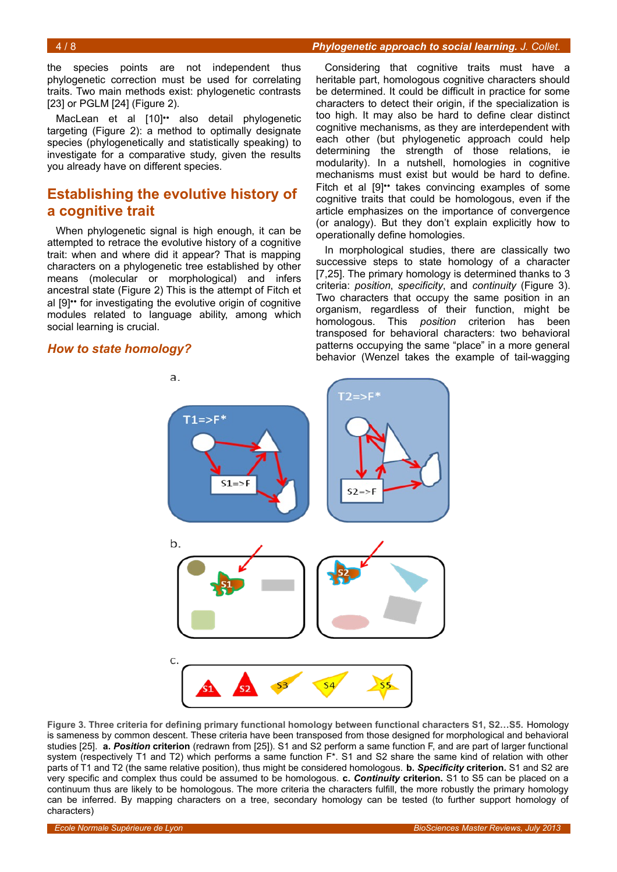the species points are not independent thus phylogenetic correction must be used for correlating traits. Two main methods exist: phylogenetic contrasts [23] or PGLM [24] (Figure [2\)](#page-2-0).

MacLean et al [10]<sup>\*\*</sup> also detail phylogenetic targeting (Figure [2\)](#page-2-0): a method to optimally designate species (phylogenetically and statistically speaking) to investigate for a comparative study, given the results you already have on different species.

## **Establishing the evolutive history of a cognitive trait**

When phylogenetic signal is high enough, it can be attempted to retrace the evolutive history of a cognitive trait: when and where did it appear? That is mapping characters on a phylogenetic tree established by other means (molecular or morphological) and infers ancestral state (Figure [2\)](#page-2-0) This is the attempt of Fitch et al [9]•• for investigating the evolutive origin of cognitive modules related to language ability, among which social learning is crucial.

#### *How to state homology?*

Considering that cognitive traits must have a heritable part, homologous cognitive characters should be determined. It could be difficult in practice for some characters to detect their origin, if the specialization is too high. It may also be hard to define clear distinct cognitive mechanisms, as they are interdependent with each other (but phylogenetic approach could help determining the strength of those relations, ie modularity). In a nutshell, homologies in cognitive mechanisms must exist but would be hard to define. Fitch et al [9]<sup>\*\*</sup> takes convincing examples of some cognitive traits that could be homologous, even if the article emphasizes on the importance of convergence (or analogy). But they don't explain explicitly how to operationally define homologies.

In morphological studies, there are classically two successive steps to state homology of a character [7,25]. The primary homology is determined thanks to 3 criteria: *position*, *specificity*, and *continuity* (Figure [3\)](#page-3-0). Two characters that occupy the same position in an organism, regardless of their function, might be homologous. This *position* criterion has been transposed for behavioral characters: two behavioral patterns occupying the same "place" in a more general behavior (Wenzel takes the example of tail-wagging



<span id="page-3-0"></span>**Figure 3. Three criteria for defining primary functional homology between functional characters S1, S2…S5.** Homology is sameness by common descent. These criteria have been transposed from those designed for morphological and behavioral studies [25]. **a.** *Position* **criterion** (redrawn from [25]). S1 and S2 perform a same function F, and are part of larger functional system (respectively T1 and T2) which performs a same function  $F^*$ . S1 and S2 share the same kind of relation with other parts of T1 and T2 (the same relative position), thus might be considered homologous. **b.** *Specificity* **criterion.** S1 and S2 are very specific and complex thus could be assumed to be homologous. **c.** *Continuity* **criterion.** S1 to S5 can be placed on a continuum thus are likely to be homologous. The more criteria the characters fulfill, the more robustly the primary homology can be inferred. By mapping characters on a tree, secondary homology can be tested (to further support homology of characters)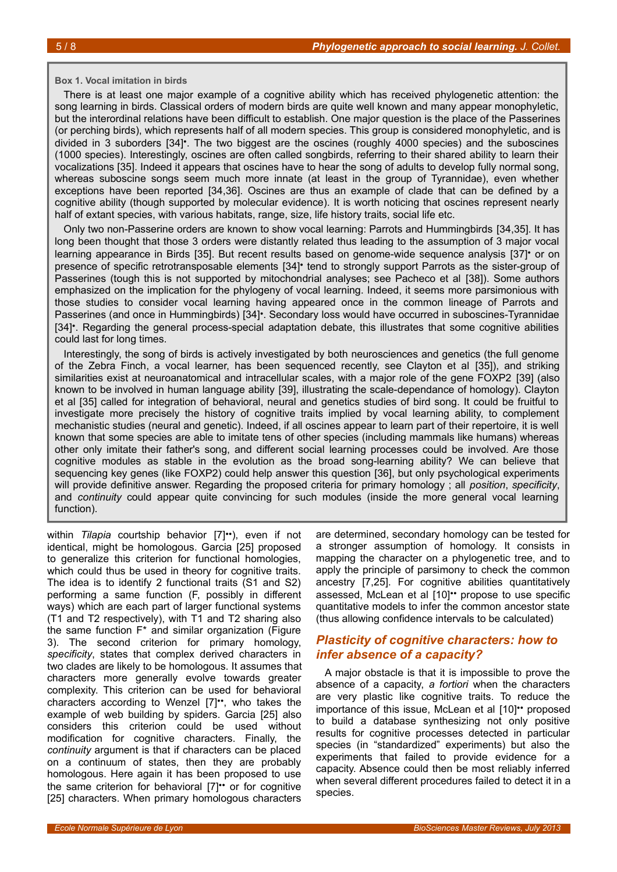#### <span id="page-4-0"></span>**Box 1. Vocal imitation in birds**

There is at least one major example of a cognitive ability which has received phylogenetic attention: the song learning in birds. Classical orders of modern birds are quite well known and many appear monophyletic, but the interordinal relations have been difficult to establish. One major question is the place of the Passerines (or perching birds), which represents half of all modern species. This group is considered monophyletic, and is divided in 3 suborders [34]•. The two biggest are the oscines (roughly 4000 species) and the suboscines (1000 species). Interestingly, oscines are often called songbirds, referring to their shared ability to learn their vocalizations [35]. Indeed it appears that oscines have to hear the song of adults to develop fully normal song, whereas suboscine songs seem much more innate (at least in the group of Tyrannidae), even whether exceptions have been reported [34,36]. Oscines are thus an example of clade that can be defined by a cognitive ability (though supported by molecular evidence). It is worth noticing that oscines represent nearly half of extant species, with various habitats, range, size, life history traits, social life etc.

Only two non-Passerine orders are known to show vocal learning: Parrots and Hummingbirds [34,35]. It has long been thought that those 3 orders were distantly related thus leading to the assumption of 3 major vocal learning appearance in Birds [35]. But recent results based on genome-wide sequence analysis [37]• or on presence of specific retrotransposable elements [34]• tend to strongly support Parrots as the sister-group of Passerines (tough this is not supported by mitochondrial analyses; see Pacheco et al [38]). Some authors emphasized on the implication for the phylogeny of vocal learning. Indeed, it seems more parsimonious with those studies to consider vocal learning having appeared once in the common lineage of Parrots and Passerines (and once in Hummingbirds) [34]•. Secondary loss would have occurred in suboscines-Tyrannidae [34]•. Regarding the general process-special adaptation debate, this illustrates that some cognitive abilities could last for long times.

Interestingly, the song of birds is actively investigated by both neurosciences and genetics (the full genome of the Zebra Finch, a vocal learner, has been sequenced recently, see Clayton et al [35]), and striking similarities exist at neuroanatomical and intracellular scales, with a major role of the gene FOXP2 [39] (also known to be involved in human language ability [39], illustrating the scale-dependance of homology). Clayton et al [35] called for integration of behavioral, neural and genetics studies of bird song. It could be fruitful to investigate more precisely the history of cognitive traits implied by vocal learning ability, to complement mechanistic studies (neural and genetic). Indeed, if all oscines appear to learn part of their repertoire, it is well known that some species are able to imitate tens of other species (including mammals like humans) whereas other only imitate their father's song, and different social learning processes could be involved. Are those cognitive modules as stable in the evolution as the broad song-learning ability? We can believe that sequencing key genes (like FOXP2) could help answer this question [36], but only psychological experiments will provide definitive answer. Regarding the proposed criteria for primary homology ; all *position*, *specificity*, and *continuity* could appear quite convincing for such modules (inside the more general vocal learning function).

within *Tilapia* courtship behavior [7]••), even if not identical, might be homologous. Garcia [25] proposed to generalize this criterion for functional homologies, which could thus be used in theory for cognitive traits. The idea is to identify 2 functional traits (S1 and S2) performing a same function (F, possibly in different ways) which are each part of larger functional systems (T1 and T2 respectively), with T1 and T2 sharing also the same function  $F^*$  and similar organization (Figure [3\)](#page-3-0). The second criterion for primary homology, *specificity*, states that complex derived characters in two clades are likely to be homologous. It assumes that characters more generally evolve towards greater complexity. This criterion can be used for behavioral characters according to Wenzel [7]••, who takes the example of web building by spiders. Garcia [25] also considers this criterion could be used without modification for cognitive characters. Finally, the *continuity* argument is that if characters can be placed on a continuum of states, then they are probably homologous. Here again it has been proposed to use the same criterion for behavioral [7]•• or for cognitive [25] characters. When primary homologous characters

are determined, secondary homology can be tested for a stronger assumption of homology. It consists in mapping the character on a phylogenetic tree, and to apply the principle of parsimony to check the common ancestry [7,25]. For cognitive abilities quantitatively assessed, McLean et al [10]•• propose to use specific quantitative models to infer the common ancestor state (thus allowing confidence intervals to be calculated)

## *Plasticity of cognitive characters: how to infer absence of a capacity?*

A major obstacle is that it is impossible to prove the absence of a capacity, *a fortiori* when the characters are very plastic like cognitive traits. To reduce the importance of this issue, McLean et al [10]•• proposed to build a database synthesizing not only positive results for cognitive processes detected in particular species (in "standardized" experiments) but also the experiments that failed to provide evidence for a capacity. Absence could then be most reliably inferred when several different procedures failed to detect it in a species.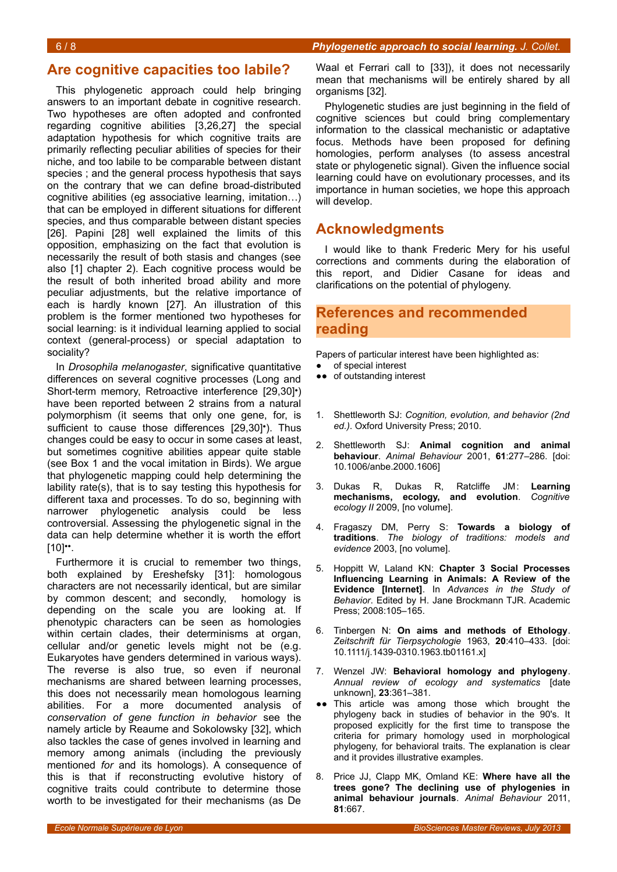## **Are cognitive capacities too labile?**

This phylogenetic approach could help bringing answers to an important debate in cognitive research. Two hypotheses are often adopted and confronted regarding cognitive abilities [3,26,27] the special adaptation hypothesis for which cognitive traits are primarily reflecting peculiar abilities of species for their niche, and too labile to be comparable between distant species ; and the general process hypothesis that says on the contrary that we can define broad-distributed cognitive abilities (eg associative learning, imitation…) that can be employed in different situations for different species, and thus comparable between distant species [26]. Papini [28] well explained the limits of this opposition, emphasizing on the fact that evolution is necessarily the result of both stasis and changes (see also [1] chapter 2). Each cognitive process would be the result of both inherited broad ability and more peculiar adjustments, but the relative importance of each is hardly known [27]. An illustration of this problem is the former mentioned two hypotheses for social learning: is it individual learning applied to social context (general-process) or special adaptation to sociality?

In *Drosophila melanogaster*, significative quantitative differences on several cognitive processes (Long and Short-term memory, Retroactive interference [29,30]•) have been reported between 2 strains from a natural polymorphism (it seems that only one gene, for, is sufficient to cause those differences [29,30]<sup>•</sup>). Thus changes could be easy to occur in some cases at least, but sometimes cognitive abilities appear quite stable (see Box [1](#page-4-0) and the vocal imitation in Birds). We argue that phylogenetic mapping could help determining the lability rate(s), that is to say testing this hypothesis for different taxa and processes. To do so, beginning with narrower phylogenetic analysis could be less controversial. Assessing the phylogenetic signal in the data can help determine whether it is worth the effort  $[10]$ <sup>\*</sup>.

Furthermore it is crucial to remember two things, both explained by Ereshefsky [31]: homologous characters are not necessarily identical, but are similar by common descent; and secondly, homology is depending on the scale you are looking at. If phenotypic characters can be seen as homologies within certain clades, their determinisms at organ, cellular and/or genetic levels might not be (e.g. Eukaryotes have genders determined in various ways). The reverse is also true, so even if neuronal mechanisms are shared between learning processes, this does not necessarily mean homologous learning abilities. For a more documented analysis of *conservation of gene function in behavior* see the namely article by Reaume and Sokolowsky [32], which also tackles the case of genes involved in learning and memory among animals (including the previously mentioned *for* and its homologs). A consequence of this is that if reconstructing evolutive history of cognitive traits could contribute to determine those worth to be investigated for their mechanisms (as De

Phylogenetic studies are just beginning in the field of cognitive sciences but could bring complementary information to the classical mechanistic or adaptative focus. Methods have been proposed for defining homologies, perform analyses (to assess ancestral state or phylogenetic signal). Given the influence social learning could have on evolutionary processes, and its importance in human societies, we hope this approach will develop.

## **Acknowledgments**

I would like to thank Frederic Mery for his useful corrections and comments during the elaboration of this report, and Didier Casane for ideas and clarifications on the potential of phylogeny.

## **References and recommended reading**

Papers of particular interest have been highlighted as:

- of special interest
- ●● of outstanding interest
- 1. Shettleworth SJ: *Cognition, evolution, and behavior (2nd ed.)*. Oxford University Press; 2010.
- 2. Shettleworth SJ: **Animal cognition and animal behaviour**. *Animal Behaviour* 2001, **61**:277–286. [doi: 10.1006/anbe.2000.1606]
- 3. Dukas R, Dukas R, Ratcliffe JM: **Learning mechanisms, ecology, and evolution**. *Cognitive ecology II* 2009, [no volume].
- 4. Fragaszy DM, Perry S: **Towards a biology of traditions**. *The biology of traditions: models and evidence* 2003, [no volume].
- 5. Hoppitt W, Laland KN: **Chapter 3 Social Processes Influencing Learning in Animals: A Review of the Evidence [Internet]**. In *Advances in the Study of Behavior*. Edited by H. Jane Brockmann TJR. Academic Press; 2008:105–165.
- 6. Tinbergen N: **On aims and methods of Ethology**. *Zeitschrift für Tierpsychologie* 1963, **20**:410–433. [doi: 10.1111/j.1439-0310.1963.tb01161.x]
- 7. Wenzel JW: **Behavioral homology and phylogeny**. *Annual review of ecology and systematics* [date unknown], **23**:361–381.
- •• This article was among those which brought the phylogeny back in studies of behavior in the 90's. It proposed explicitly for the first time to transpose the criteria for primary homology used in morphological phylogeny, for behavioral traits. The explanation is clear and it provides illustrative examples.
- 8. Price JJ, Clapp MK, Omland KE: **Where have all the trees gone? The declining use of phylogenies in animal behaviour journals**. *Animal Behaviour* 2011, **81**:667.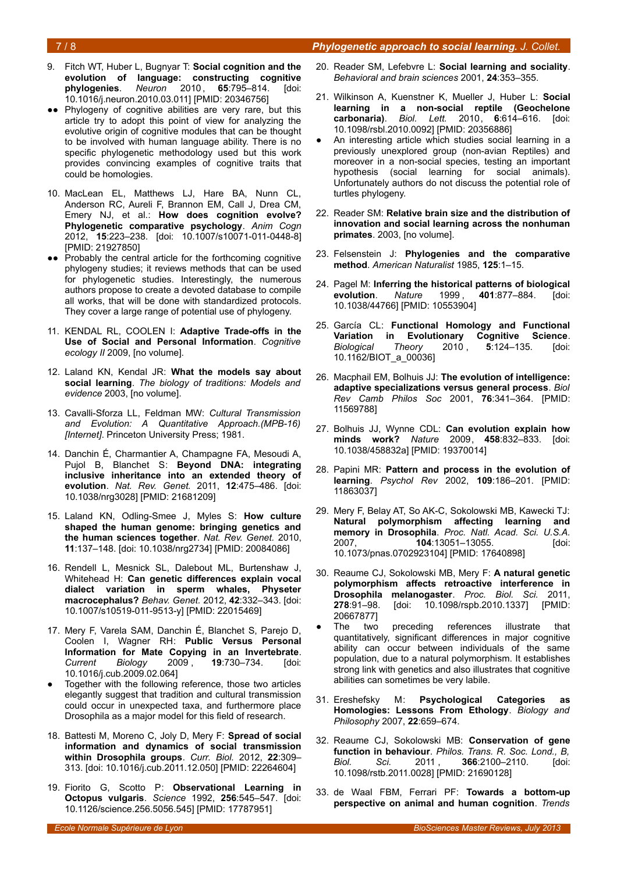- 9. Fitch WT, Huber L, Bugnyar T: **Social cognition and the evolution of language: constructing cognitive phylogenies**. *Neuron* 2010 , **65**:795–814. [doi: 10.1016/j.neuron.2010.03.011] [PMID: 20346756]
- Phylogeny of cognitive abilities are very rare, but this article try to adopt this point of view for analyzing the evolutive origin of cognitive modules that can be thought to be involved with human language ability. There is no specific phylogenetic methodology used but this work provides convincing examples of cognitive traits that could be homologies.
- 10. MacLean EL, Matthews LJ, Hare BA, Nunn CL, Anderson RC, Aureli F, Brannon EM, Call J, Drea CM, Emery NJ, et al.: **How does cognition evolve? Phylogenetic comparative psychology**. *Anim Cogn* 2012, **15**:223–238. [doi: 10.1007/s10071-011-0448-8] [PMID: 21927850]
- ●● Probably the central article for the forthcoming cognitive phylogeny studies; it reviews methods that can be used for phylogenetic studies. Interestingly, the numerous authors propose to create a devoted database to compile all works, that will be done with standardized protocols. They cover a large range of potential use of phylogeny.
- 11. KENDAL RL, COOLEN I: **Adaptive Trade-offs in the Use of Social and Personal Information**. *Cognitive ecology II* 2009, [no volume].
- 12. Laland KN, Kendal JR: **What the models say about social learning**. *The biology of traditions: Models and evidence* 2003, [no volume].
- 13. Cavalli-Sforza LL, Feldman MW: *Cultural Transmission and Evolution: A Quantitative Approach.(MPB-16) [Internet]*. Princeton University Press; 1981.
- 14. Danchin É, Charmantier A, Champagne FA, Mesoudi A, Pujol B, Blanchet S: **Beyond DNA: integrating inclusive inheritance into an extended theory of evolution**. *Nat. Rev. Genet.* 2011, **12**:475–486. [doi: 10.1038/nrg3028] [PMID: 21681209]
- 15. Laland KN, Odling-Smee J, Myles S: **How culture shaped the human genome: bringing genetics and the human sciences together**. *Nat. Rev. Genet.* 2010, **11**:137–148. [doi: 10.1038/nrg2734] [PMID: 20084086]
- 16. Rendell L, Mesnick SL, Dalebout ML, Burtenshaw J, Whitehead H: **Can genetic differences explain vocal dialect variation in sperm whales, Physeter macrocephalus?** *Behav. Genet.* 2012, **42**:332–343. [doi: 10.1007/s10519-011-9513-y] [PMID: 22015469]
- 17. Mery F, Varela SAM, Danchin É, Blanchet S, Parejo D, Coolen I, Wagner RH: **Public Versus Personal Information for Mate Copying in an Invertebrate**. *Current Biology* 2009 , **19**:730–734. [doi: 10.1016/j.cub.2009.02.064]
- Together with the following reference, those two articles elegantly suggest that tradition and cultural transmission could occur in unexpected taxa, and furthermore place Drosophila as a major model for this field of research.
- 18. Battesti M, Moreno C, Joly D, Mery F: **Spread of social information and dynamics of social transmission within Drosophila groups**. *Curr. Biol.* 2012, **22**:309– 313. [doi: 10.1016/j.cub.2011.12.050] [PMID: 22264604]
- 19. Fiorito G, Scotto P: **Observational Learning in Octopus vulgaris**. *Science* 1992, **256**:545–547. [doi: 10.1126/science.256.5056.545] [PMID: 17787951]
- 20. Reader SM, Lefebvre L: **Social learning and sociality**. *Behavioral and brain sciences* 2001, **24**:353–355.
- 21. Wilkinson A, Kuenstner K, Mueller J, Huber L: **Social learning in a non-social reptile (Geochelone carbonaria)**. *Biol. Lett.* 2010, **6**:614–616. [doi: 10.1098/rsbl.2010.0092] [PMID: 20356886]
- An interesting article which studies social learning in a previously unexplored group (non-avian Reptiles) and moreover in a non-social species, testing an important hypothesis (social learning for social animals). Unfortunately authors do not discuss the potential role of turtles phylogeny.
- 22. Reader SM: **Relative brain size and the distribution of innovation and social learning across the nonhuman primates**. 2003, [no volume].
- 23. Felsenstein J: **Phylogenies and the comparative method**. *American Naturalist* 1985, **125**:1–15.
- 24. Pagel M: **Inferring the historical patterns of biological evolution**. *Nature* 1999 , **401**:877–884. [doi: 10.1038/44766] [PMID: 10553904]
- 25. García CL: **Functional Homology and Functional Variation in Evolutionary Cognitive Science**. *Biological Theory* 2010 , **5**:124–135. [doi: 10.1162/BIOT\_a\_00036]
- 26. Macphail EM, Bolhuis JJ: **The evolution of intelligence: adaptive specializations versus general process**. *Biol Rev Camb Philos Soc* 2001, **76**:341–364. [PMID: 11569788]
- 27. Bolhuis JJ, Wynne CDL: **Can evolution explain how minds work?** *Nature* 2009, **458**:832–833. [doi: 10.1038/458832a] [PMID: 19370014]
- 28. Papini MR: **Pattern and process in the evolution of learning**. *Psychol Rev* 2002, **109**:186–201. [PMID: 11863037]
- 29. Mery F, Belay AT, So AK-C, Sokolowski MB, Kawecki TJ: **Natural polymorphism affecting learning and memory in Drosophila**. *Proc. Natl. Acad. Sci. U.S.A.* 2007, **104**:13051–13055. [doi: 10.1073/pnas.0702923104] [PMID: 17640898]
- 30. Reaume CJ, Sokolowski MB, Mery F: **A natural genetic polymorphism affects retroactive interference in Drosophila melanogaster**. *Proc. Biol. Sci.* 2011, **278**:91–98. [doi: 10.1098/rspb.2010.1337] [PMID: 20667877]
- The two preceding references illustrate that quantitatively, significant differences in major cognitive ability can occur between individuals of the same population, due to a natural polymorphism. It establishes strong link with genetics and also illustrates that cognitive abilities can sometimes be very labile.
- 31. Ereshefsky M: **Psychological Categories as Homologies: Lessons From Ethology**. *Biology and Philosophy* 2007, **22**:659–674.
- 32. Reaume CJ, Sokolowski MB: **Conservation of gene function in behaviour**. *Philos. Trans. R. Soc. Lond., B, Biol. Sci.* 2011 , **366**:2100–2110. [doi: 10.1098/rstb.2011.0028] [PMID: 21690128]
- 33. de Waal FBM, Ferrari PF: **Towards a bottom-up perspective on animal and human cognition**. *Trends*